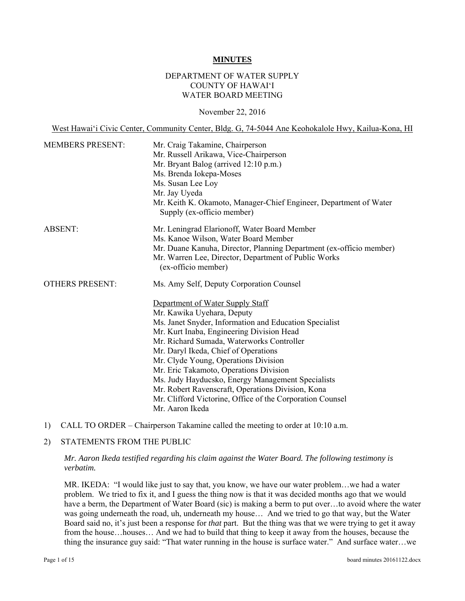#### **MINUTES**

### DEPARTMENT OF WATER SUPPLY COUNTY OF HAWAI'I WATER BOARD MEETING

#### November 22, 2016

 Mr. Russell Arikawa, Vice-Chairperson West Hawai'i Civic Center, Community Center, Bldg. G, 74-5044 Ane Keohokalole Hwy, Kailua-Kona, HI MEMBERS PRESENT: Mr. Craig Takamine, Chairperson Mr. Bryant Balog (arrived 12:10 p.m.) Ms. Brenda Iokepa-Moses Ms. Susan Lee Loy Mr. Jay Uyeda Mr. Keith K. Okamoto, Manager-Chief Engineer, Department of Water Supply (ex-officio member) ABSENT: Mr. Leningrad Elarionoff, Water Board Member Ms. Kanoe Wilson, Water Board Member Mr. Duane Kanuha, Director, Planning Department (ex-officio member) Mr. Warren Lee, Director, Department of Public Works (ex-officio member) OTHERS PRESENT: Ms. Amy Self, Deputy Corporation Counsel Department of Water Supply Staff Mr. Kawika Uyehara, Deputy Ms. Janet Snyder, Information and Education Specialist Mr. Kurt Inaba, Engineering Division Head Mr. Richard Sumada, Waterworks Controller Mr. Daryl Ikeda, Chief of Operations Mr. Clyde Young, Operations Division Mr. Eric Takamoto, Operations Division Ms. Judy Hayducsko, Energy Management Specialists Mr. Robert Ravenscraft, Operations Division, Kona Mr. Clifford Victorine, Office of the Corporation Counsel Mr. Aaron Ikeda

1) CALL TO ORDER – Chairperson Takamine called the meeting to order at 10:10 a.m.

#### 2) STATEMENTS FROM THE PUBLIC

*Mr. Aaron Ikeda testified regarding his claim against the Water Board. The following testimony is verbatim.* 

MR. IKEDA: "I would like just to say that, you know, we have our water problem…we had a water problem. We tried to fix it, and I guess the thing now is that it was decided months ago that we would have a berm, the Department of Water Board (sic) is making a berm to put over...to avoid where the water was going underneath the road, uh, underneath my house… And we tried to go that way, but the Water Board said no, it's just been a response for *that* part. But the thing was that we were trying to get it away from the house…houses… And we had to build that thing to keep it away from the houses, because the thing the insurance guy said: "That water running in the house is surface water." And surface water…we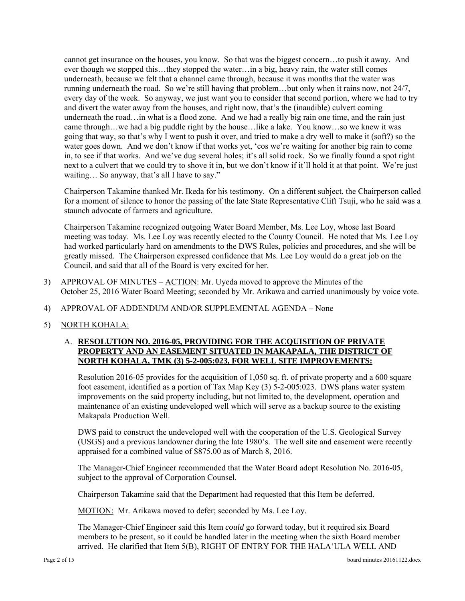next to a culvert that we could try to shove it in, but we don't know if it'll hold it at that point. We're just cannot get insurance on the houses, you know. So that was the biggest concern…to push it away. And ever though we stopped this…they stopped the water…in a big, heavy rain, the water still comes underneath, because we felt that a channel came through, because it was months that the water was running underneath the road. So we're still having that problem…but only when it rains now, not 24/7, every day of the week. So anyway, we just want you to consider that second portion, where we had to try and divert the water away from the houses, and right now, that's the (inaudible) culvert coming underneath the road...in what is a flood zone. And we had a really big rain one time, and the rain just came through…we had a big puddle right by the house…like a lake. You know…so we knew it was going that way, so that's why I went to push it over, and tried to make a dry well to make it (soft?) so the water goes down. And we don't know if that works yet, 'cos we're waiting for another big rain to come in, to see if that works. And we've dug several holes; it's all solid rock. So we finally found a spot right waiting... So anyway, that's all I have to say."

Chairperson Takamine thanked Mr. Ikeda for his testimony. On a different subject, the Chairperson called for a moment of silence to honor the passing of the late State Representative Clift Tsuji, who he said was a staunch advocate of farmers and agriculture.

Chairperson Takamine recognized outgoing Water Board Member, Ms. Lee Loy, whose last Board meeting was today. Ms. Lee Loy was recently elected to the County Council. He noted that Ms. Lee Loy had worked particularly hard on amendments to the DWS Rules, policies and procedures, and she will be greatly missed. The Chairperson expressed confidence that Ms. Lee Loy would do a great job on the Council, and said that all of the Board is very excited for her.

- 3) APPROVAL OF MINUTES ACTION: Mr. Uyeda moved to approve the Minutes of the October 25, 2016 Water Board Meeting; seconded by Mr. Arikawa and carried unanimously by voice vote.
- 4) APPROVAL OF ADDENDUM AND/OR SUPPLEMENTAL AGENDA None
- 5) NORTH KOHALA:

## A. **RESOLUTION NO. 2016-05, PROVIDING FOR THE ACQUISITION OF PRIVATE PROPERTY AND AN EASEMENT SITUATED IN MAKAPALA, THE DISTRICT OF NORTH KOHALA, TMK (3) 5-2-005:023, FOR WELL SITE IMPROVEMENTS:**

Resolution 2016-05 provides for the acquisition of 1,050 sq. ft. of private property and a 600 square foot easement, identified as a portion of Tax Map Key (3) 5-2-005:023. DWS plans water system improvements on the said property including, but not limited to, the development, operation and maintenance of an existing undeveloped well which will serve as a backup source to the existing Makapala Production Well.

DWS paid to construct the undeveloped well with the cooperation of the U.S. Geological Survey (USGS) and a previous landowner during the late 1980's. The well site and easement were recently appraised for a combined value of \$875.00 as of March 8, 2016.

The Manager-Chief Engineer recommended that the Water Board adopt Resolution No. 2016-05, subject to the approval of Corporation Counsel.

Chairperson Takamine said that the Department had requested that this Item be deferred.

MOTION: Mr. Arikawa moved to defer; seconded by Ms. Lee Loy.

The Manager-Chief Engineer said this Item *could* go forward today, but it required six Board members to be present, so it could be handled later in the meeting when the sixth Board member arrived. He clarified that Item 5(B), RIGHT OF ENTRY FOR THE HALA'ULA WELL AND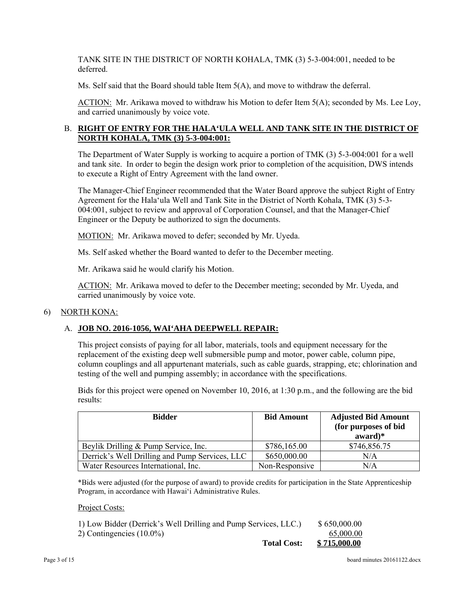TANK SITE IN THE DISTRICT OF NORTH KOHALA, TMK (3) 5-3-004:001, needed to be deferred.

Ms. Self said that the Board should table Item 5(A), and move to withdraw the deferral.

ACTION: Mr. Arikawa moved to withdraw his Motion to defer Item 5(A); seconded by Ms. Lee Loy, and carried unanimously by voice vote.

# B. **RIGHT OF ENTRY FOR THE HALA'ULA WELL AND TANK SITE IN THE DISTRICT OF NORTH KOHALA, TMK (3) 5-3-004:001:**

The Department of Water Supply is working to acquire a portion of TMK (3) 5-3-004:001 for a well and tank site. In order to begin the design work prior to completion of the acquisition, DWS intends to execute a Right of Entry Agreement with the land owner.

The Manager-Chief Engineer recommended that the Water Board approve the subject Right of Entry Agreement for the Hala'ula Well and Tank Site in the District of North Kohala, TMK (3) 5-3- 004:001, subject to review and approval of Corporation Counsel, and that the Manager-Chief Engineer or the Deputy be authorized to sign the documents.

MOTION: Mr. Arikawa moved to defer; seconded by Mr. Uyeda.

Ms. Self asked whether the Board wanted to defer to the December meeting.

Mr. Arikawa said he would clarify his Motion.

ACTION: Mr. Arikawa moved to defer to the December meeting; seconded by Mr. Uyeda, and carried unanimously by voice vote.

# 6) NORTH KONA:

# A. **JOB NO. 2016-1056, WAI'AHA DEEPWELL REPAIR:**

This project consists of paying for all labor, materials, tools and equipment necessary for the replacement of the existing deep well submersible pump and motor, power cable, column pipe, column couplings and all appurtenant materials, such as cable guards, strapping, etc; chlorination and testing of the well and pumping assembly; in accordance with the specifications.

Bids for this project were opened on November 10, 2016, at 1:30 p.m., and the following are the bid results:

| <b>Bidder</b>                                  | <b>Bid Amount</b> | <b>Adjusted Bid Amount</b><br>(for purposes of bid<br>$award)*$ |
|------------------------------------------------|-------------------|-----------------------------------------------------------------|
| Beylik Drilling & Pump Service, Inc.           | \$786,165.00      | \$746,856.75                                                    |
| Derrick's Well Drilling and Pump Services, LLC | \$650,000.00      | N/A                                                             |
| Water Resources International, Inc.            | Non-Responsive    | N/A                                                             |

\*Bids were adjusted (for the purpose of award) to provide credits for participation in the State Apprenticeship Program, in accordance with Hawaiʻi Administrative Rules.

Project Costs:

| <b>Total Cost:</b>                                              | \$715,000.00 |
|-----------------------------------------------------------------|--------------|
| 2) Contingencies $(10.0\%)$                                     | 65,000.00    |
| 1) Low Bidder (Derrick's Well Drilling and Pump Services, LLC.) | \$650,000.00 |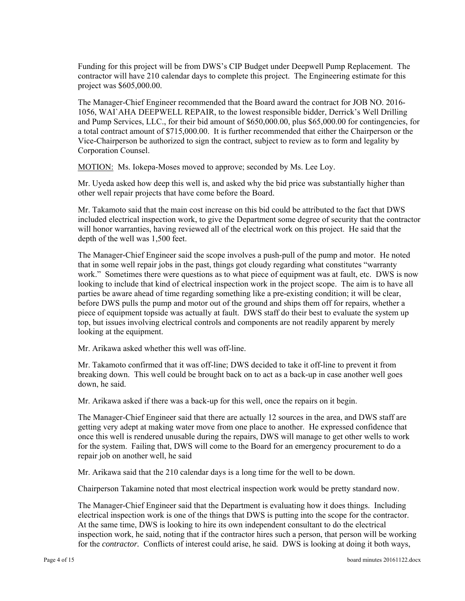Funding for this project will be from DWS's CIP Budget under Deepwell Pump Replacement. The contractor will have 210 calendar days to complete this project. The Engineering estimate for this project was \$605,000.00.

 Vice-Chairperson be authorized to sign the contract, subject to review as to form and legality by The Manager-Chief Engineer recommended that the Board award the contract for JOB NO. 2016- 1056, WAI`AHA DEEPWELL REPAIR, to the lowest responsible bidder, Derrick's Well Drilling and Pump Services, LLC., for their bid amount of \$650,000.00, plus \$65,000.00 for contingencies, for a total contract amount of \$715,000.00. It is further recommended that either the Chairperson or the Corporation Counsel.

MOTION: Ms. Iokepa-Moses moved to approve; seconded by Ms. Lee Loy.

Mr. Uyeda asked how deep this well is, and asked why the bid price was substantially higher than other well repair projects that have come before the Board.

Mr. Takamoto said that the main cost increase on this bid could be attributed to the fact that DWS included electrical inspection work, to give the Department some degree of security that the contractor will honor warranties, having reviewed all of the electrical work on this project. He said that the depth of the well was 1,500 feet.

The Manager-Chief Engineer said the scope involves a push-pull of the pump and motor. He noted that in some well repair jobs in the past, things got cloudy regarding what constitutes "warranty work." Sometimes there were questions as to what piece of equipment was at fault, etc. DWS is now looking to include that kind of electrical inspection work in the project scope. The aim is to have all parties be aware ahead of time regarding something like a pre-existing condition; it will be clear, before DWS pulls the pump and motor out of the ground and ships them off for repairs, whether a piece of equipment topside was actually at fault. DWS staff do their best to evaluate the system up top, but issues involving electrical controls and components are not readily apparent by merely looking at the equipment.

Mr. Arikawa asked whether this well was off-line.

Mr. Takamoto confirmed that it was off-line; DWS decided to take it off-line to prevent it from breaking down. This well could be brought back on to act as a back-up in case another well goes down, he said.

Mr. Arikawa asked if there was a back-up for this well, once the repairs on it begin.

The Manager-Chief Engineer said that there are actually 12 sources in the area, and DWS staff are getting very adept at making water move from one place to another. He expressed confidence that once this well is rendered unusable during the repairs, DWS will manage to get other wells to work for the system. Failing that, DWS will come to the Board for an emergency procurement to do a repair job on another well, he said

Mr. Arikawa said that the 210 calendar days is a long time for the well to be down.

Chairperson Takamine noted that most electrical inspection work would be pretty standard now.

The Manager-Chief Engineer said that the Department is evaluating how it does things. Including electrical inspection work is one of the things that DWS is putting into the scope for the contractor. At the same time, DWS is looking to hire its own independent consultant to do the electrical inspection work, he said, noting that if the contractor hires such a person, that person will be working for the *contractor.* Conflicts of interest could arise, he said. DWS is looking at doing it both ways,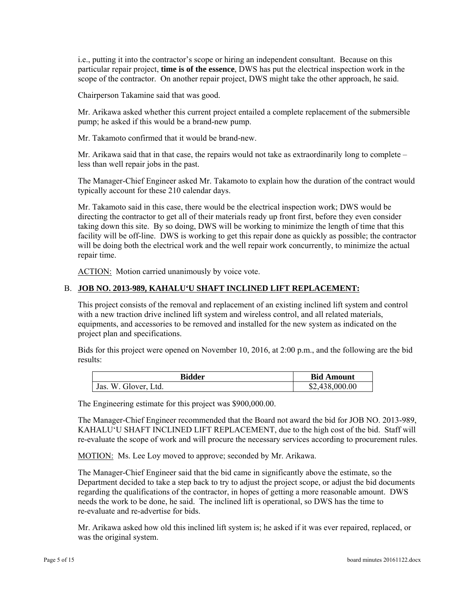i.e., putting it into the contractor's scope or hiring an independent consultant. Because on this particular repair project, **time is of the essence**, DWS has put the electrical inspection work in the scope of the contractor. On another repair project, DWS might take the other approach, he said.

Chairperson Takamine said that was good.

Mr. Arikawa asked whether this current project entailed a complete replacement of the submersible pump; he asked if this would be a brand-new pump.

Mr. Takamoto confirmed that it would be brand-new.

Mr. Arikawa said that in that case, the repairs would not take as extraordinarily long to complete – less than well repair jobs in the past.

The Manager-Chief Engineer asked Mr. Takamoto to explain how the duration of the contract would typically account for these 210 calendar days.

Mr. Takamoto said in this case, there would be the electrical inspection work; DWS would be directing the contractor to get all of their materials ready up front first, before they even consider taking down this site. By so doing, DWS will be working to minimize the length of time that this facility will be off-line. DWS is working to get this repair done as quickly as possible; the contractor will be doing both the electrical work and the well repair work concurrently, to minimize the actual repair time.

ACTION: Motion carried unanimously by voice vote.

### B. **JOB NO. 2013-989, KAHALU'U SHAFT INCLINED LIFT REPLACEMENT:**

This project consists of the removal and replacement of an existing inclined lift system and control with a new traction drive inclined lift system and wireless control, and all related materials, equipments, and accessories to be removed and installed for the new system as indicated on the project plan and specifications.

Bids for this project were opened on November 10, 2016, at 2:00 p.m., and the following are the bid results:

| Bidder                       | <b>Bid Amount</b>    |
|------------------------------|----------------------|
| Ltd.<br>Jas.<br>W<br>Glover. | 000.00<br>52.<br>۰.۴ |

The Engineering estimate for this project was \$900,000.00.

The Manager-Chief Engineer recommended that the Board not award the bid for JOB NO. 2013-989, KAHALU'U SHAFT INCLINED LIFT REPLACEMENT, due to the high cost of the bid. Staff will re-evaluate the scope of work and will procure the necessary services according to procurement rules.

MOTION: Ms. Lee Loy moved to approve; seconded by Mr. Arikawa.

The Manager-Chief Engineer said that the bid came in significantly above the estimate, so the Department decided to take a step back to try to adjust the project scope, or adjust the bid documents regarding the qualifications of the contractor, in hopes of getting a more reasonable amount. DWS needs the work to be done, he said. The inclined lift is operational, so DWS has the time to re-evaluate and re-advertise for bids.

Mr. Arikawa asked how old this inclined lift system is; he asked if it was ever repaired, replaced, or was the original system.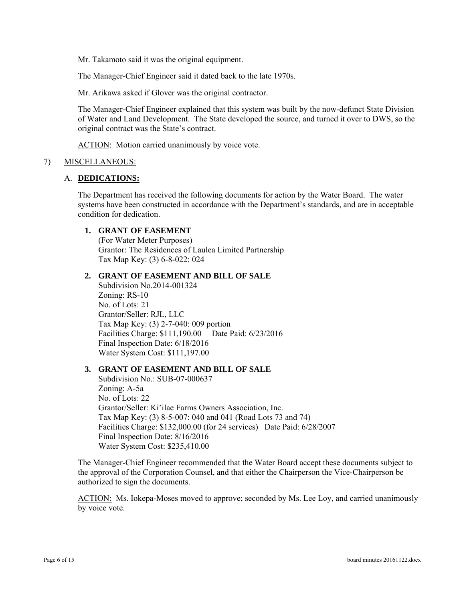Mr. Takamoto said it was the original equipment.

The Manager-Chief Engineer said it dated back to the late 1970s.

Mr. Arikawa asked if Glover was the original contractor.

The Manager-Chief Engineer explained that this system was built by the now-defunct State Division of Water and Land Development. The State developed the source, and turned it over to DWS, so the original contract was the State's contract.

ACTION: Motion carried unanimously by voice vote.

#### 7) MISCELLANEOUS:

#### A. **DEDICATIONS:**

The Department has received the following documents for action by the Water Board. The water systems have been constructed in accordance with the Department's standards, and are in acceptable condition for dedication.

#### **1. GRANT OF EASEMENT**

(For Water Meter Purposes) Grantor: The Residences of Laulea Limited Partnership Tax Map Key: (3) 6-8-022: 024

#### **2. GRANT OF EASEMENT AND BILL OF SALE**

Subdivision No.2014-001324 Zoning: RS-10 No. of Lots: 21 Grantor/Seller: RJL, LLC Tax Map Key: (3) 2-7-040: 009 portion Facilities Charge: \$111,190.00 Date Paid: 6/23/2016 Final Inspection Date: 6/18/2016 Water System Cost: \$111,197.00

### **3. GRANT OF EASEMENT AND BILL OF SALE**

Subdivision No.: SUB-07-000637 Zoning: A-5a No. of Lots: 22 Grantor/Seller: Ki'ilae Farms Owners Association, Inc. Tax Map Key: (3) 8-5-007: 040 and 041 (Road Lots 73 and 74) Facilities Charge: \$132,000.00 (for 24 services) Date Paid: 6/28/2007 Final Inspection Date: 8/16/2016 Water System Cost: \$235,410.00

The Manager-Chief Engineer recommended that the Water Board accept these documents subject to the approval of the Corporation Counsel, and that either the Chairperson the Vice-Chairperson be authorized to sign the documents.

ACTION: Ms. Iokepa-Moses moved to approve; seconded by Ms. Lee Loy, and carried unanimously by voice vote.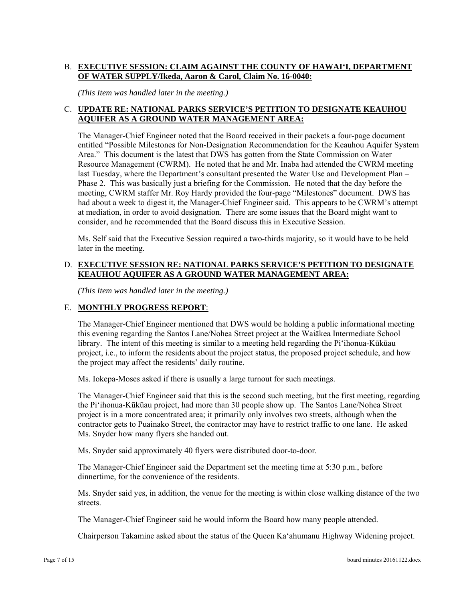# B. **EXECUTIVE SESSION: CLAIM AGAINST THE COUNTY OF HAWAI'I, DEPARTMENT OF WATER SUPPLY/Ikeda, Aaron & Carol, Claim No. 16-0040:**

*(This Item was handled later in the meeting.)* 

# C. **UPDATE RE: NATIONAL PARKS SERVICE'S PETITION TO DESIGNATE KEAUHOU AQUIFER AS A GROUND WATER MANAGEMENT AREA:**

The Manager-Chief Engineer noted that the Board received in their packets a four-page document entitled "Possible Milestones for Non-Designation Recommendation for the Keauhou Aquifer System Area." This document is the latest that DWS has gotten from the State Commission on Water Resource Management (CWRM). He noted that he and Mr. Inaba had attended the CWRM meeting last Tuesday, where the Department's consultant presented the Water Use and Development Plan – Phase 2. This was basically just a briefing for the Commission. He noted that the day before the meeting, CWRM staffer Mr. Roy Hardy provided the four-page "Milestones" document. DWS has had about a week to digest it, the Manager-Chief Engineer said. This appears to be CWRM's attempt at mediation, in order to avoid designation. There are some issues that the Board might want to consider, and he recommended that the Board discuss this in Executive Session.

Ms. Self said that the Executive Session required a two-thirds majority, so it would have to be held later in the meeting.

### D. **EXECUTIVE SESSION RE: NATIONAL PARKS SERVICE'S PETITION TO DESIGNATE KEAUHOU AQUIFER AS A GROUND WATER MANAGEMENT AREA:**

*(This Item was handled later in the meeting.)* 

### E. **MONTHLY PROGRESS REPORT**:

The Manager-Chief Engineer mentioned that DWS would be holding a public informational meeting this evening regarding the Santos Lane/Nohea Street project at the Waiākea Intermediate School library. The intent of this meeting is similar to a meeting held regarding the Pi'ihonua-Kūkūau project, i.e., to inform the residents about the project status, the proposed project schedule, and how the project may affect the residents' daily routine.

Ms. Iokepa-Moses asked if there is usually a large turnout for such meetings.

The Manager-Chief Engineer said that this is the second such meeting, but the first meeting, regarding the Pi'ihonua-Kūkūau project, had more than 30 people show up. The Santos Lane/Nohea Street project is in a more concentrated area; it primarily only involves two streets, although when the contractor gets to Puainako Street, the contractor may have to restrict traffic to one lane. He asked Ms. Snyder how many flyers she handed out.

Ms. Snyder said approximately 40 flyers were distributed door-to-door.

The Manager-Chief Engineer said the Department set the meeting time at 5:30 p.m., before dinnertime, for the convenience of the residents.

Ms. Snyder said yes, in addition, the venue for the meeting is within close walking distance of the two streets.

The Manager-Chief Engineer said he would inform the Board how many people attended.

Chairperson Takamine asked about the status of the Queen Ka'ahumanu Highway Widening project.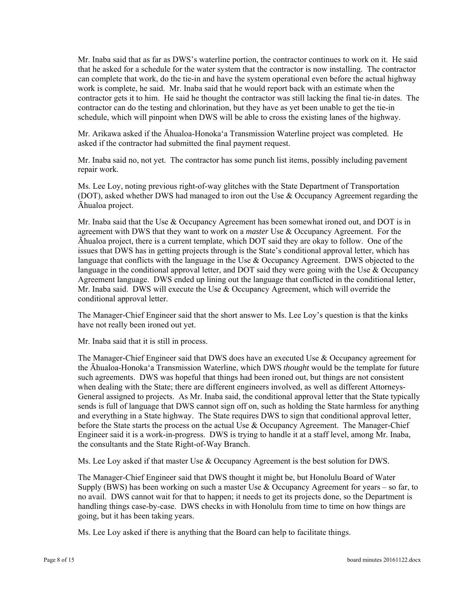Mr. Inaba said that as far as DWS's waterline portion, the contractor continues to work on it. He said that he asked for a schedule for the water system that the contractor is now installing. The contractor can complete that work, do the tie-in and have the system operational even before the actual highway work is complete, he said. Mr. Inaba said that he would report back with an estimate when the contractor gets it to him. He said he thought the contractor was still lacking the final tie-in dates. The contractor can do the testing and chlorination, but they have as yet been unable to get the tie-in schedule, which will pinpoint when DWS will be able to cross the existing lanes of the highway.

Mr. Arikawa asked if the Āhualoa-Honoka'a Transmission Waterline project was completed. He asked if the contractor had submitted the final payment request.

Mr. Inaba said no, not yet. The contractor has some punch list items, possibly including pavement repair work.

Ms. Lee Loy, noting previous right-of-way glitches with the State Department of Transportation (DOT), asked whether DWS had managed to iron out the Use & Occupancy Agreement regarding the Āhualoa project.

Mr. Inaba said that the Use & Occupancy Agreement has been somewhat ironed out, and DOT is in agreement with DWS that they want to work on a *master* Use & Occupancy Agreement. For the Āhualoa project, there is a current template, which DOT said they are okay to follow. One of the issues that DWS has in getting projects through is the State's conditional approval letter, which has language that conflicts with the language in the Use & Occupancy Agreement. DWS objected to the language in the conditional approval letter, and DOT said they were going with the Use & Occupancy Agreement language. DWS ended up lining out the language that conflicted in the conditional letter, Mr. Inaba said. DWS will execute the Use & Occupancy Agreement, which will override the conditional approval letter.

The Manager-Chief Engineer said that the short answer to Ms. Lee Loy's question is that the kinks have not really been ironed out yet.

Mr. Inaba said that it is still in process.

The Manager-Chief Engineer said that DWS does have an executed Use & Occupancy agreement for the Āhualoa-Honoka'a Transmission Waterline, which DWS *thought* would be the template for future such agreements. DWS was hopeful that things had been ironed out, but things are not consistent when dealing with the State; there are different engineers involved, as well as different Attorneys-General assigned to projects. As Mr. Inaba said, the conditional approval letter that the State typically sends is full of language that DWS cannot sign off on, such as holding the State harmless for anything and everything in a State highway. The State requires DWS to sign that conditional approval letter, before the State starts the process on the actual Use & Occupancy Agreement. The Manager-Chief Engineer said it is a work-in-progress. DWS is trying to handle it at a staff level, among Mr. Inaba, the consultants and the State Right-of-Way Branch.

Ms. Lee Loy asked if that master Use & Occupancy Agreement is the best solution for DWS.

The Manager-Chief Engineer said that DWS thought it might be, but Honolulu Board of Water Supply (BWS) has been working on such a master Use  $\&$  Occupancy Agreement for years – so far, to no avail. DWS cannot wait for that to happen; it needs to get its projects done, so the Department is handling things case-by-case. DWS checks in with Honolulu from time to time on how things are going, but it has been taking years.

Ms. Lee Loy asked if there is anything that the Board can help to facilitate things.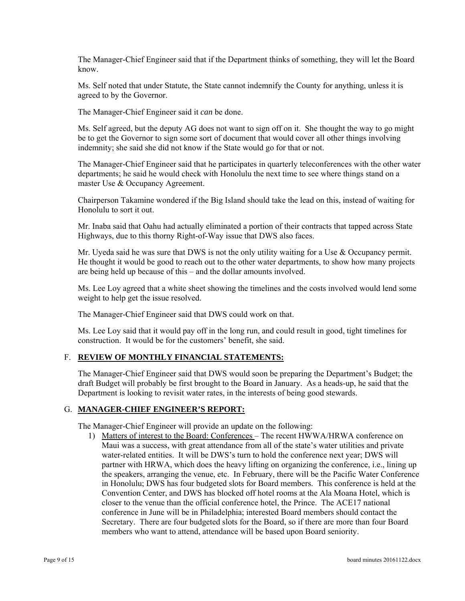The Manager-Chief Engineer said that if the Department thinks of something, they will let the Board know.

Ms. Self noted that under Statute, the State cannot indemnify the County for anything, unless it is agreed to by the Governor.

The Manager-Chief Engineer said it *can* be done.

 Ms. Self agreed, but the deputy AG does not want to sign off on it. She thought the way to go might be to get the Governor to sign some sort of document that would cover all other things involving indemnity; she said she did not know if the State would go for that or not.

The Manager-Chief Engineer said that he participates in quarterly teleconferences with the other water departments; he said he would check with Honolulu the next time to see where things stand on a master Use & Occupancy Agreement.

Chairperson Takamine wondered if the Big Island should take the lead on this, instead of waiting for Honolulu to sort it out.

Mr. Inaba said that Oahu had actually eliminated a portion of their contracts that tapped across State Highways, due to this thorny Right-of-Way issue that DWS also faces.

Mr. Uyeda said he was sure that DWS is not the only utility waiting for a Use & Occupancy permit. He thought it would be good to reach out to the other water departments, to show how many projects are being held up because of this – and the dollar amounts involved.

Ms. Lee Loy agreed that a white sheet showing the timelines and the costs involved would lend some weight to help get the issue resolved.

The Manager-Chief Engineer said that DWS could work on that.

Ms. Lee Loy said that it would pay off in the long run, and could result in good, tight timelines for construction. It would be for the customers' benefit, she said.

### F. **REVIEW OF MONTHLY FINANCIAL STATEMENTS:**

The Manager-Chief Engineer said that DWS would soon be preparing the Department's Budget; the draft Budget will probably be first brought to the Board in January. As a heads-up, he said that the Department is looking to revisit water rates, in the interests of being good stewards.

### G. **MANAGER-CHIEF ENGINEER'S REPORT:**

The Manager-Chief Engineer will provide an update on the following:

1) Matters of interest to the Board: Conferences – The recent HWWA/HRWA conference on Maui was a success, with great attendance from all of the state's water utilities and private water-related entities. It will be DWS's turn to hold the conference next year; DWS will partner with HRWA, which does the heavy lifting on organizing the conference, i.e., lining up the speakers, arranging the venue, etc. In February, there will be the Pacific Water Conference in Honolulu; DWS has four budgeted slots for Board members. This conference is held at the Convention Center, and DWS has blocked off hotel rooms at the Ala Moana Hotel, which is closer to the venue than the official conference hotel, the Prince. The ACE17 national conference in June will be in Philadelphia; interested Board members should contact the Secretary. There are four budgeted slots for the Board, so if there are more than four Board members who want to attend, attendance will be based upon Board seniority.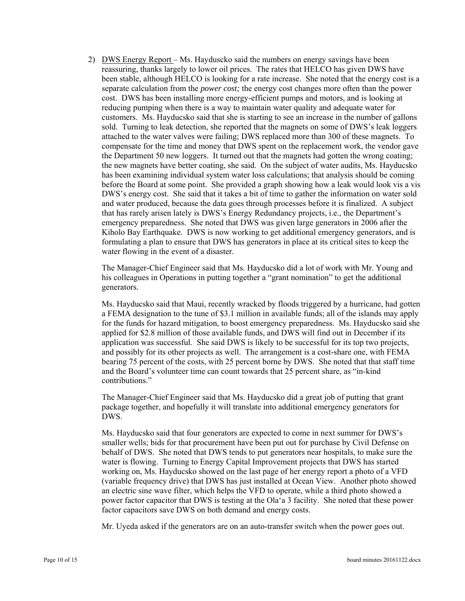2) DWS Energy Report – Ms. Hayduscko said the numbers on energy savings have been reassuring, thanks largely to lower oil prices. The rates that HELCO has given DWS have been stable, although HELCO is looking for a rate increase. She noted that the energy cost is a separate calculation from the *power cost;* the energy cost changes more often than the power cost. DWS has been installing more energy-efficient pumps and motors, and is looking at reducing pumping when there is a way to maintain water quality and adequate water for customers. Ms. Hayducsko said that she is starting to see an increase in the number of gallons sold. Turning to leak detection, she reported that the magnets on some of DWS's leak loggers attached to the water valves were failing; DWS replaced more than 300 of these magnets. To compensate for the time and money that DWS spent on the replacement work, the vendor gave the Department 50 new loggers. It turned out that the magnets had gotten the wrong coating; the new magnets have better coating, she said. On the subject of water audits, Ms. Hayducsko has been examining individual system water loss calculations; that analysis should be coming before the Board at some point. She provided a graph showing how a leak would look vis a vis DWS's energy cost. She said that it takes a bit of time to gather the information on water sold and water produced, because the data goes through processes before it is finalized. A subject that has rarely arisen lately is DWS's Energy Redundancy projects, i.e., the Department's emergency preparedness. She noted that DWS was given large generators in 2006 after the Kiholo Bay Earthquake. DWS is now working to get additional emergency generators, and is formulating a plan to ensure that DWS has generators in place at its critical sites to keep the water flowing in the event of a disaster.

The Manager-Chief Engineer said that Ms. Hayducsko did a lot of work with Mr. Young and his colleagues in Operations in putting together a "grant nomination" to get the additional generators.

Ms. Hayducsko said that Maui, recently wracked by floods triggered by a hurricane, had gotten a FEMA designation to the tune of \$3.1 million in available funds; all of the islands may apply for the funds for hazard mitigation, to boost emergency preparedness. Ms. Hayducsko said she applied for \$2.8 million of those available funds, and DWS will find out in December if its application was successful. She said DWS is likely to be successful for its top two projects, and possibly for its other projects as well. The arrangement is a cost-share one, with FEMA bearing 75 percent of the costs, with 25 percent borne by DWS. She noted that that staff time and the Board's volunteer time can count towards that 25 percent share, as "in-kind contributions."

The Manager-Chief Engineer said that Ms. Hayducsko did a great job of putting that grant package together, and hopefully it will translate into additional emergency generators for DWS.

Ms. Hayducsko said that four generators are expected to come in next summer for DWS's smaller wells; bids for that procurement have been put out for purchase by Civil Defense on behalf of DWS. She noted that DWS tends to put generators near hospitals, to make sure the water is flowing. Turning to Energy Capital Improvement projects that DWS has started working on, Ms. Hayducsko showed on the last page of her energy report a photo of a VFD (variable frequency drive) that DWS has just installed at Ocean View. Another photo showed an electric sine wave filter, which helps the VFD to operate, while a third photo showed a power factor capacitor that DWS is testing at the Ola'a 3 facility. She noted that these power factor capacitors save DWS on both demand and energy costs.

Mr. Uyeda asked if the generators are on an auto-transfer switch when the power goes out.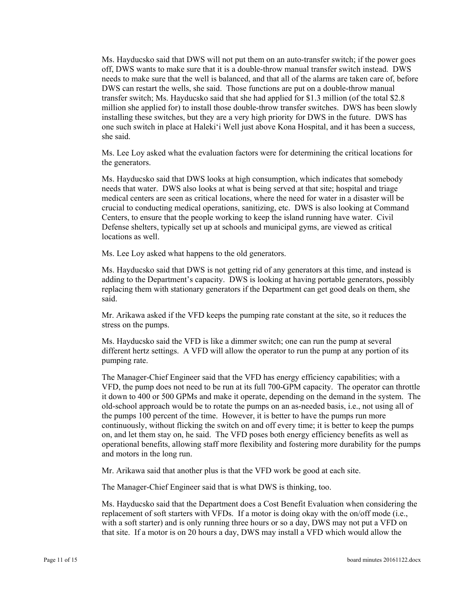Ms. Hayducsko said that DWS will not put them on an auto-transfer switch; if the power goes off, DWS wants to make sure that it is a double-throw manual transfer switch instead. DWS needs to make sure that the well is balanced, and that all of the alarms are taken care of, before DWS can restart the wells, she said. Those functions are put on a double-throw manual transfer switch; Ms. Hayducsko said that she had applied for \$1.3 million (of the total \$2.8 million she applied for) to install those double-throw transfer switches. DWS has been slowly installing these switches, but they are a very high priority for DWS in the future. DWS has one such switch in place at Haleki'i Well just above Kona Hospital, and it has been a success, she said.

Ms. Lee Loy asked what the evaluation factors were for determining the critical locations for the generators.

Ms. Hayducsko said that DWS looks at high consumption, which indicates that somebody needs that water. DWS also looks at what is being served at that site; hospital and triage medical centers are seen as critical locations, where the need for water in a disaster will be crucial to conducting medical operations, sanitizing, etc. DWS is also looking at Command Centers, to ensure that the people working to keep the island running have water. Civil Defense shelters, typically set up at schools and municipal gyms, are viewed as critical locations as well.

Ms. Lee Loy asked what happens to the old generators.

Ms. Hayducsko said that DWS is not getting rid of any generators at this time, and instead is adding to the Department's capacity. DWS is looking at having portable generators, possibly replacing them with stationary generators if the Department can get good deals on them, she said.

Mr. Arikawa asked if the VFD keeps the pumping rate constant at the site, so it reduces the stress on the pumps.

Ms. Hayducsko said the VFD is like a dimmer switch; one can run the pump at several different hertz settings. A VFD will allow the operator to run the pump at any portion of its pumping rate.

The Manager-Chief Engineer said that the VFD has energy efficiency capabilities; with a VFD, the pump does not need to be run at its full 700-GPM capacity. The operator can throttle it down to 400 or 500 GPMs and make it operate, depending on the demand in the system. The old-school approach would be to rotate the pumps on an as-needed basis, i.e., not using all of the pumps 100 percent of the time. However, it is better to have the pumps run more continuously, without flicking the switch on and off every time; it is better to keep the pumps on, and let them stay on, he said. The VFD poses both energy efficiency benefits as well as operational benefits, allowing staff more flexibility and fostering more durability for the pumps and motors in the long run.

Mr. Arikawa said that another plus is that the VFD work be good at each site.

The Manager-Chief Engineer said that is what DWS is thinking, too.

Ms. Hayducsko said that the Department does a Cost Benefit Evaluation when considering the replacement of soft starters with VFDs. If a motor is doing okay with the on/off mode (i.e., with a soft starter) and is only running three hours or so a day, DWS may not put a VFD on that site. If a motor is on 20 hours a day, DWS may install a VFD which would allow the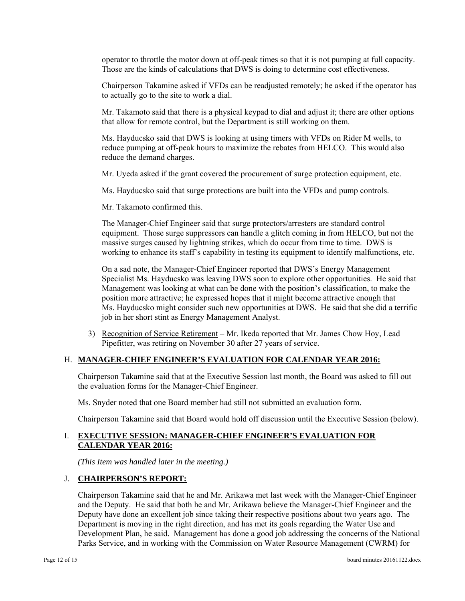operator to throttle the motor down at off-peak times so that it is not pumping at full capacity. Those are the kinds of calculations that DWS is doing to determine cost effectiveness.

Chairperson Takamine asked if VFDs can be readjusted remotely; he asked if the operator has to actually go to the site to work a dial.

Mr. Takamoto said that there is a physical keypad to dial and adjust it; there are other options that allow for remote control, but the Department is still working on them.

Ms. Hayducsko said that DWS is looking at using timers with VFDs on Rider M wells, to reduce pumping at off-peak hours to maximize the rebates from HELCO. This would also reduce the demand charges.

Mr. Uyeda asked if the grant covered the procurement of surge protection equipment, etc.

Ms. Hayducsko said that surge protections are built into the VFDs and pump controls.

Mr. Takamoto confirmed this.

The Manager-Chief Engineer said that surge protectors/arresters are standard control equipment. Those surge suppressors can handle a glitch coming in from HELCO, but not the massive surges caused by lightning strikes, which do occur from time to time. DWS is working to enhance its staff's capability in testing its equipment to identify malfunctions, etc.

On a sad note, the Manager-Chief Engineer reported that DWS's Energy Management Specialist Ms. Hayducsko was leaving DWS soon to explore other opportunities. He said that Management was looking at what can be done with the position's classification, to make the position more attractive; he expressed hopes that it might become attractive enough that Ms. Hayducsko might consider such new opportunities at DWS. He said that she did a terrific job in her short stint as Energy Management Analyst.

3) Recognition of Service Retirement – Mr. Ikeda reported that Mr. James Chow Hoy, Lead Pipefitter, was retiring on November 30 after 27 years of service.

#### H. **MANAGER-CHIEF ENGINEER'S EVALUATION FOR CALENDAR YEAR 2016:**

Chairperson Takamine said that at the Executive Session last month, the Board was asked to fill out the evaluation forms for the Manager-Chief Engineer.

Ms. Snyder noted that one Board member had still not submitted an evaluation form.

Chairperson Takamine said that Board would hold off discussion until the Executive Session (below).

#### **I. EXECUTIVE SESSION: MANAGER-CHIEF ENGINEER'S EVALUATION FOR CALENDAR YEAR 2016:**

*(This Item was handled later in the meeting.)* 

#### J. **CHAIRPERSON'S REPORT:**

Chairperson Takamine said that he and Mr. Arikawa met last week with the Manager-Chief Engineer and the Deputy. He said that both he and Mr. Arikawa believe the Manager-Chief Engineer and the Deputy have done an excellent job since taking their respective positions about two years ago. The Department is moving in the right direction, and has met its goals regarding the Water Use and Development Plan, he said. Management has done a good job addressing the concerns of the National Parks Service, and in working with the Commission on Water Resource Management (CWRM) for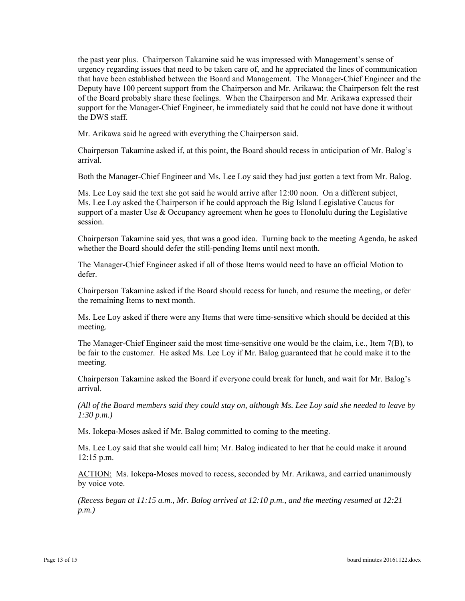the past year plus. Chairperson Takamine said he was impressed with Management's sense of urgency regarding issues that need to be taken care of, and he appreciated the lines of communication that have been established between the Board and Management. The Manager-Chief Engineer and the Deputy have 100 percent support from the Chairperson and Mr. Arikawa; the Chairperson felt the rest of the Board probably share these feelings. When the Chairperson and Mr. Arikawa expressed their support for the Manager-Chief Engineer, he immediately said that he could not have done it without the DWS staff.

Mr. Arikawa said he agreed with everything the Chairperson said.

Chairperson Takamine asked if, at this point, the Board should recess in anticipation of Mr. Balog's arrival.

Both the Manager-Chief Engineer and Ms. Lee Loy said they had just gotten a text from Mr. Balog.

Ms. Lee Loy said the text she got said he would arrive after 12:00 noon. On a different subject, Ms. Lee Loy asked the Chairperson if he could approach the Big Island Legislative Caucus for support of a master Use  $\&$  Occupancy agreement when he goes to Honolulu during the Legislative session.

Chairperson Takamine said yes, that was a good idea. Turning back to the meeting Agenda, he asked whether the Board should defer the still-pending Items until next month.

The Manager-Chief Engineer asked if all of those Items would need to have an official Motion to defer.

Chairperson Takamine asked if the Board should recess for lunch, and resume the meeting, or defer the remaining Items to next month.

Ms. Lee Loy asked if there were any Items that were time-sensitive which should be decided at this meeting.

The Manager-Chief Engineer said the most time-sensitive one would be the claim, i.e., Item 7(B), to be fair to the customer. He asked Ms. Lee Loy if Mr. Balog guaranteed that he could make it to the meeting.

Chairperson Takamine asked the Board if everyone could break for lunch, and wait for Mr. Balog's arrival.

*(All of the Board members said they could stay on, although Ms. Lee Loy said she needed to leave by 1:30 p.m.)* 

Ms. Iokepa-Moses asked if Mr. Balog committed to coming to the meeting.

Ms. Lee Loy said that she would call him; Mr. Balog indicated to her that he could make it around 12:15 p.m.

ACTION: Ms. Iokepa-Moses moved to recess, seconded by Mr. Arikawa, and carried unanimously by voice vote.

*(Recess began at 11:15 a.m., Mr. Balog arrived at 12:10 p.m., and the meeting resumed at 12:21 p.m.)*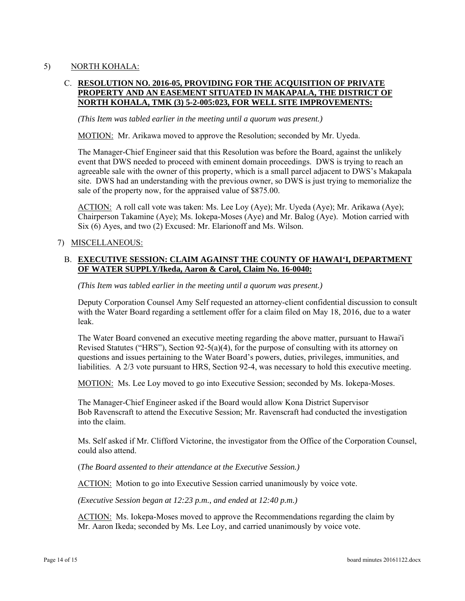# 5) NORTH KOHALA:

# C. **RESOLUTION NO. 2016-05, PROVIDING FOR THE ACQUISITION OF PRIVATE PROPERTY AND AN EASEMENT SITUATED IN MAKAPALA, THE DISTRICT OF NORTH KOHALA, TMK (3) 5-2-005:023, FOR WELL SITE IMPROVEMENTS:**

*(This Item was tabled earlier in the meeting until a quorum was present.)* 

MOTION: Mr. Arikawa moved to approve the Resolution; seconded by Mr. Uyeda.

The Manager-Chief Engineer said that this Resolution was before the Board, against the unlikely event that DWS needed to proceed with eminent domain proceedings. DWS is trying to reach an agreeable sale with the owner of this property, which is a small parcel adjacent to DWS's Makapala site. DWS had an understanding with the previous owner, so DWS is just trying to memorialize the sale of the property now, for the appraised value of \$875.00.

ACTION: A roll call vote was taken: Ms. Lee Loy (Aye); Mr. Uyeda (Aye); Mr. Arikawa (Aye); Chairperson Takamine (Aye); Ms. Iokepa-Moses (Aye) and Mr. Balog (Aye). Motion carried with Six (6) Ayes, and two (2) Excused: Mr. Elarionoff and Ms. Wilson.

#### 7) MISCELLANEOUS:

## B. **EXECUTIVE SESSION: CLAIM AGAINST THE COUNTY OF HAWAI'I, DEPARTMENT OF WATER SUPPLY/Ikeda, Aaron & Carol, Claim No. 16-0040:**

*(This Item was tabled earlier in the meeting until a quorum was present.)* 

Deputy Corporation Counsel Amy Self requested an attorney-client confidential discussion to consult with the Water Board regarding a settlement offer for a claim filed on May 18, 2016, due to a water leak.

The Water Board convened an executive meeting regarding the above matter, pursuant to Hawai'i Revised Statutes ("HRS"), Section  $92-5(a)(4)$ , for the purpose of consulting with its attorney on questions and issues pertaining to the Water Board's powers, duties, privileges, immunities, and liabilities. A 2/3 vote pursuant to HRS, Section 92-4, was necessary to hold this executive meeting.

MOTION: Ms. Lee Loy moved to go into Executive Session; seconded by Ms. Iokepa-Moses.

The Manager-Chief Engineer asked if the Board would allow Kona District Supervisor Bob Ravenscraft to attend the Executive Session; Mr. Ravenscraft had conducted the investigation into the claim.

Ms. Self asked if Mr. Clifford Victorine, the investigator from the Office of the Corporation Counsel, could also attend.

(*The Board assented to their attendance at the Executive Session.)* 

ACTION: Motion to go into Executive Session carried unanimously by voice vote.

*(Executive Session began at 12:23 p.m., and ended at 12:40 p.m.)* 

ACTION: Ms. Iokepa-Moses moved to approve the Recommendations regarding the claim by Mr. Aaron Ikeda; seconded by Ms. Lee Loy, and carried unanimously by voice vote.